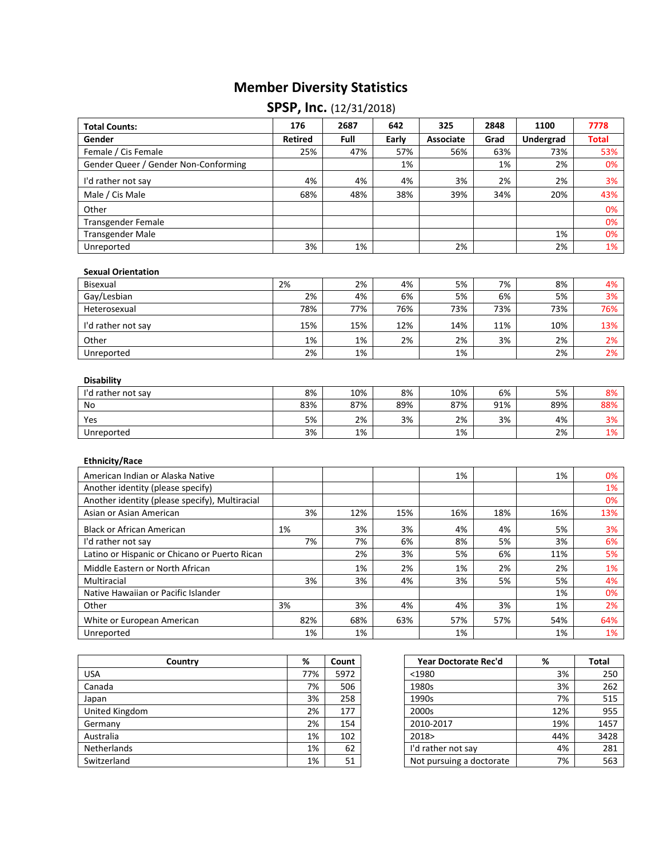## **Member Diversity Statistics**

## **SPSP, Inc.** (12/31/2018)

| <b>Total Counts:</b>                           | 176            | 2687       | 642       | 325        | 2848      | 1100             | 7778         |
|------------------------------------------------|----------------|------------|-----------|------------|-----------|------------------|--------------|
| Gender                                         | <b>Retired</b> | Full       | Early     | Associate  | Grad      | <b>Undergrad</b> | <b>Total</b> |
| Female / Cis Female                            | 25%            | 47%        | 57%       | 56%        | 63%       | 73%              | 53%          |
| Gender Queer / Gender Non-Conforming           |                |            | 1%        |            | 1%        | 2%               | 0%           |
| I'd rather not say                             | 4%             | 4%         | 4%        | 3%         | 2%        | 2%               | 3%           |
| Male / Cis Male                                | 68%            | 48%        | 38%       | 39%        | 34%       | 20%              | 43%          |
| Other                                          |                |            |           |            |           |                  | 0%           |
| Transgender Female                             |                |            |           |            |           |                  | 0%           |
| <b>Transgender Male</b>                        |                |            |           |            |           | 1%               | 0%           |
| Unreported                                     | 3%             | 1%         |           | 2%         |           | 2%               | 1%           |
| <b>Sexual Orientation</b>                      |                |            |           |            |           |                  |              |
| Bisexual                                       | 2%             | 2%         | 4%        | 5%         | 7%        | 8%               | 4%           |
| Gay/Lesbian                                    | 2%             | 4%         | 6%        | 5%         | 6%        | 5%               | 3%           |
| Heterosexual                                   | 78%            | 77%        | 76%       | 73%        | 73%       | 73%              | 76%          |
| I'd rather not say                             | 15%            | 15%        | 12%       | 14%        | 11%       | 10%              | 13%          |
| Other                                          | 1%             | 1%         | 2%        | 2%         | 3%        | 2%               | 2%           |
| Unreported                                     | 2%             | 1%         |           | 1%         |           | 2%               | 2%           |
| <b>Disability</b><br>I'd rather not say<br>No  | 8%<br>83%      | 10%<br>87% | 8%<br>89% | 10%<br>87% | 6%<br>91% | 5%<br>89%        | 8%<br>88%    |
|                                                |                |            |           |            |           |                  |              |
| Yes                                            | 5%             | 2%         | 3%        | 2%         | 3%        | 4%               | 3%           |
| Unreported                                     | 3%             | 1%         |           | 1%         |           | 2%               | 1%           |
| <b>Ethnicity/Race</b>                          |                |            |           |            |           |                  |              |
| American Indian or Alaska Native               |                |            |           | 1%         |           | 1%               | 0%           |
| Another identity (please specify)              |                |            |           |            |           |                  | 1%           |
| Another identity (please specify), Multiracial |                |            |           |            |           |                  | 0%           |
| Asian or Asian American                        | 3%             | 12%        | 15%       | 16%        | 18%       | 16%              | 13%          |
| <b>Black or African American</b>               | 1%             | 3%         | 3%        | 4%         | 4%        | 5%               | 3%           |
| I'd rather not say                             | 7%             | 7%         | 6%        | 8%         | 5%        | 3%               | 6%           |
| Latino or Hispanic or Chicano or Puerto Rican  |                | 2%         | 3%        | 5%         | 6%        | 11%              | 5%           |
| Middle Eastern or North African                |                | 1%         | 2%        | 1%         | 2%        | 2%               | 1%           |
| Multiracial                                    | 3%             | 3%         | 4%        | 3%         | 5%        | 5%               | 4%           |
| Native Hawaiian or Pacific Islander            |                |            |           |            |           | 1%               | 0%           |
| Other                                          | 3%             | 3%         | 4%        | 4%         | 3%        | 1%               | 2%           |
| White or European American                     | 82%            | 68%        | 63%       | 57%        | 57%       | 54%              | 64%          |
| Unreported                                     | 1%             | 1%         |           | 1%         |           | 1%               | 1%           |

| Country            | %   | Count | Year Doctorate Rec'd     | %   | <b>Total</b> |
|--------------------|-----|-------|--------------------------|-----|--------------|
| <b>USA</b>         | 77% | 5972  | $1980$                   | 3%  | 250          |
| Canada             | 7%  | 506   | 1980s                    | 3%  | 262          |
| Japan              | 3%  | 258   | 1990s                    | 7%  | 515          |
| United Kingdom     | 2%  | 177   | 2000s                    | 12% | 955          |
| Germany            | 2%  | 154   | 2010-2017                | 19% | 1457         |
| Australia          | 1%  | 102   | 2018>                    | 44% | 3428         |
| <b>Netherlands</b> | 1%  | 62    | I'd rather not say       | 4%  | 281          |
| Switzerland        | 1%  | 51    | Not pursuing a doctorate | 7%  | 563          |

| Country | %   | Count | Year Doctorate Rec'd     | %   | <b>Total</b> |
|---------|-----|-------|--------------------------|-----|--------------|
|         | 77% | 5972  | $1980$                   | 3%  | 250          |
|         | 7%  | 506   | 1980s                    | 3%  | 262          |
|         | 3%  | 258   | 1990s                    | 7%  | 515          |
|         | 2%  | 177   | 2000s                    | 12% | 955          |
|         | 2%  | 154   | 2010-2017                | 19% | 1457         |
|         | 1%  | 102   | 2018>                    | 44% | 3428         |
|         | 1%  | 62    | I'd rather not say       | 4%  | 281          |
|         | 1%  | 51    | Not pursuing a doctorate | 7%  | 563          |